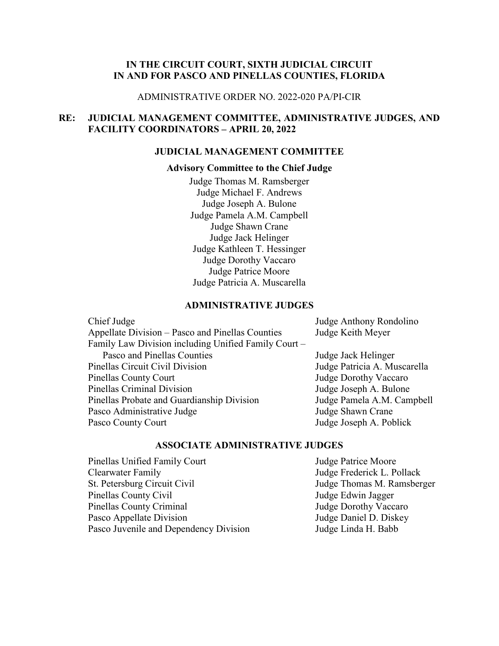# **IN THE CIRCUIT COURT, SIXTH JUDICIAL CIRCUIT IN AND FOR PASCO AND PINELLAS COUNTIES, FLORIDA**

#### ADMINISTRATIVE ORDER NO. 2022-020 PA/PI-CIR

# **RE: JUDICIAL MANAGEMENT COMMITTEE, ADMINISTRATIVE JUDGES, AND FACILITY COORDINATORS – APRIL 20, 2022**

#### **JUDICIAL MANAGEMENT COMMITTEE**

### **Advisory Committee to the Chief Judge**

Judge Thomas M. Ramsberger Judge Michael F. Andrews Judge Joseph A. Bulone Judge Pamela A.M. Campbell Judge Shawn Crane Judge Jack Helinger Judge Kathleen T. Hessinger Judge Dorothy Vaccaro Judge Patrice Moore Judge Patricia A. Muscarella

### **ADMINISTRATIVE JUDGES**

| Chief Judge                                          | Judge Anthony Rondolino      |
|------------------------------------------------------|------------------------------|
| Appellate Division – Pasco and Pinellas Counties     | Judge Keith Meyer            |
| Family Law Division including Unified Family Court - |                              |
| Pasco and Pinellas Counties                          | Judge Jack Helinger          |
| Pinellas Circuit Civil Division                      | Judge Patricia A. Muscarella |
| Pinellas County Court                                | Judge Dorothy Vaccaro        |
| Pinellas Criminal Division                           | Judge Joseph A. Bulone       |
| Pinellas Probate and Guardianship Division           | Judge Pamela A.M. Campbell   |
| Pasco Administrative Judge                           | Judge Shawn Crane            |
| Pasco County Court                                   | Judge Joseph A. Poblick      |
|                                                      |                              |

### **ASSOCIATE ADMINISTRATIVE JUDGES**

Pinellas Unified Family Court **Internal Studies** Judge Patrice Moore Clearwater Family Judge Frederick L. Pollack St. Petersburg Circuit Civil **St. Petersburg Circuit Civil** Judge Thomas M. Ramsberger Pinellas County Civil **Finellas County Civil** Judge Edwin Jagger Pinellas County Criminal Judge Dorothy Vaccaro Pasco Appellate Division Judge Daniel D. Diskey Pasco Juvenile and Dependency Division Judge Linda H. Babb